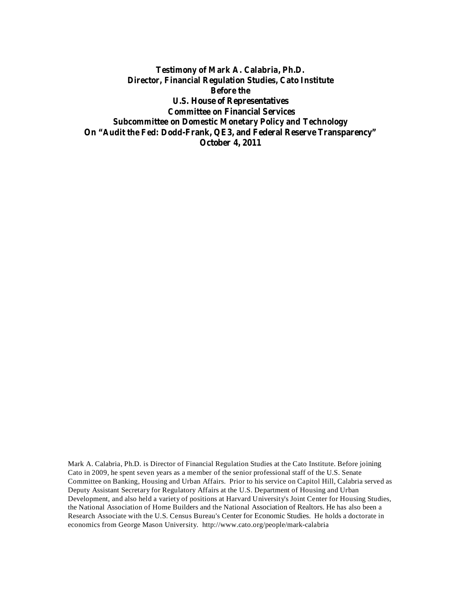**Testimony of Mark A. Calabria, Ph.D. Director, Financial Regulation Studies, Cato Institute Before the U.S. House of Representatives Committee on Financial Services Subcommittee on Domestic Monetary Policy and Technology On "Audit the Fed: Dodd-Frank, QE3, and Federal Reserve Transparency" October 4, 2011**

Mark A. Calabria, Ph.D. is Director of Financial Regulation Studies at the Cato Institute. Before joining Cato in 2009, he spent seven years as a member of the senior professional staff of the U.S. Senate Committee on Banking, Housing and Urban Affairs. Prior to his service on Capitol Hill, Calabria served as Deputy Assistant Secretary for Regulatory Affairs at the U.S. Department of Housing and Urban Development, and also held a variety of positions at Harvard University's Joint Center for Housing Studies, the National Association of Home Builders and the National Association of Realtors. He has also been a Research Associate with the U.S. Census Bureau's Center for Economic Studies. He holds a doctorate in economics from George Mason University. http://www.cato.org/people/mark-calabria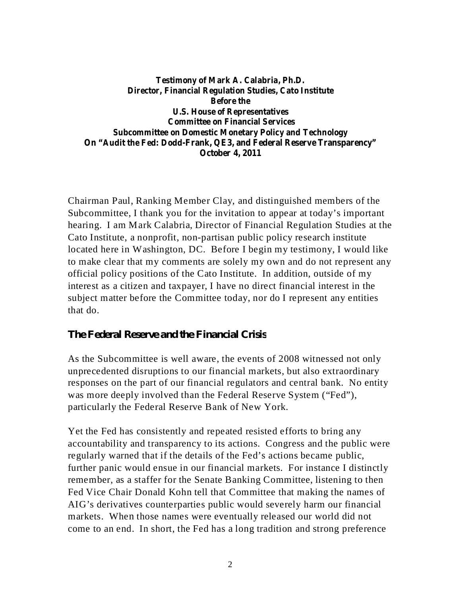**Testimony of Mark A. Calabria, Ph.D. Director, Financial Regulation Studies, Cato Institute Before the U.S. House of Representatives Committee on Financial Services Subcommittee on Domestic Monetary Policy and Technology On "Audit the Fed: Dodd-Frank, QE3, and Federal Reserve Transparency" October 4, 2011**

Chairman Paul, Ranking Member Clay, and distinguished members of the Subcommittee, I thank you for the invitation to appear at today's important hearing. I am Mark Calabria, Director of Financial Regulation Studies at the Cato Institute, a nonprofit, non-partisan public policy research institute located here in Washington, DC. Before I begin my testimony, I would like to make clear that my comments are solely my own and do not represent any official policy positions of the Cato Institute. In addition, outside of my interest as a citizen and taxpayer, I have no direct financial interest in the subject matter before the Committee today, nor do I represent any entities that do.

#### *The Federal Reserve and the Financial Crisis*

As the Subcommittee is well aware, the events of 2008 witnessed not only unprecedented disruptions to our financial markets, but also extraordinary responses on the part of our financial regulators and central bank. No entity was more deeply involved than the Federal Reserve System ("Fed"), particularly the Federal Reserve Bank of New York.

Yet the Fed has consistently and repeated resisted efforts to bring any accountability and transparency to its actions. Congress and the public were regularly warned that if the details of the Fed's actions became public, further panic would ensue in our financial markets. For instance I distinctly remember, as a staffer for the Senate Banking Committee, listening to then Fed Vice Chair Donald Kohn tell that Committee that making the names of AIG's derivatives counterparties public would severely harm our financial markets. When those names were eventually released our world did not come to an end. In short, the Fed has a long tradition and strong preference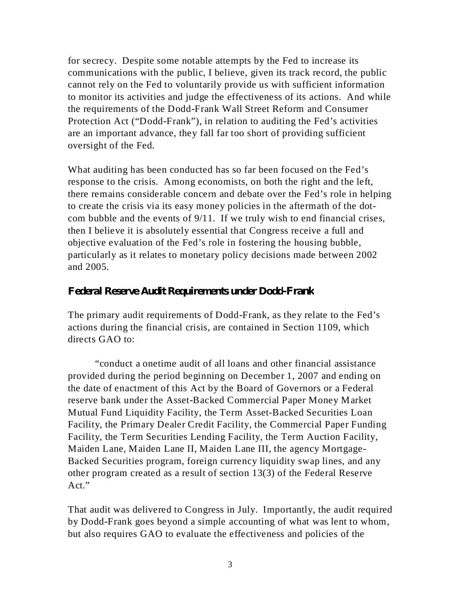for secrecy. Despite some notable attempts by the Fed to increase its communications with the public, I believe, given its track record, the public cannot rely on the Fed to voluntarily provide us with sufficient information to monitor its activities and judge the effectiveness of its actions. And while the requirements of the Dodd-Frank Wall Street Reform and Consumer Protection Act ("Dodd-Frank"), in relation to auditing the Fed's activities are an important advance, they fall far too short of providing sufficient oversight of the Fed.

What auditing has been conducted has so far been focused on the Fed's response to the crisis. Among economists, on both the right and the left, there remains considerable concern and debate over the Fed's role in helping to create the crisis via its easy money policies in the aftermath of the dotcom bubble and the events of 9/11. If we truly wish to end financial crises, then I believe it is absolutely essential that Congress receive a full and objective evaluation of the Fed's role in fostering the housing bubble, particularly as it relates to monetary policy decisions made between 2002 and 2005.

#### *Federal Reserve Audit Requirements under Dodd-Frank*

The primary audit requirements of Dodd-Frank, as they relate to the Fed's actions during the financial crisis, are contained in Section 1109, which directs GAO to:

"conduct a onetime audit of all loans and other financial assistance provided during the period beginning on December 1, 2007 and ending on the date of enactment of this Act by the Board of Governors or a Federal reserve bank under the Asset-Backed Commercial Paper Money Market Mutual Fund Liquidity Facility, the Term Asset-Backed Securities Loan Facility, the Primary Dealer Credit Facility, the Commercial Paper Funding Facility, the Term Securities Lending Facility, the Term Auction Facility, Maiden Lane, Maiden Lane II, Maiden Lane III, the agency Mortgage-Backed Securities program, foreign currency liquidity swap lines, and any other program created as a result of section 13(3) of the Federal Reserve Act."

That audit was delivered to Congress in July. Importantly, the audit required by Dodd-Frank goes beyond a simple accounting of what was lent to whom, but also requires GAO to evaluate the effectiveness and policies of the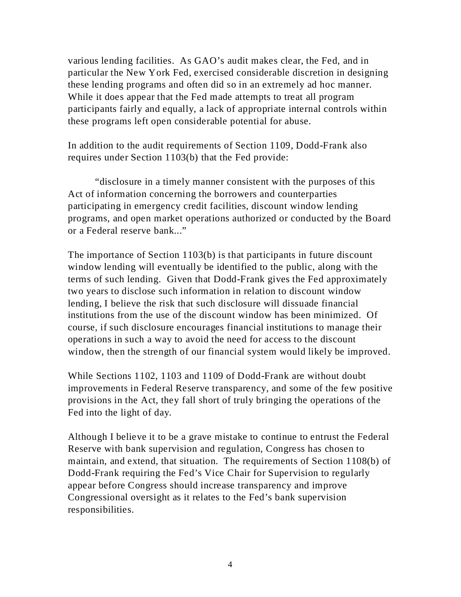various lending facilities. As GAO's audit makes clear, the Fed, and in particular the New York Fed, exercised considerable discretion in designing these lending programs and often did so in an extremely ad hoc manner. While it does appear that the Fed made attempts to treat all program participants fairly and equally, a lack of appropriate internal controls within these programs left open considerable potential for abuse.

In addition to the audit requirements of Section 1109, Dodd-Frank also requires under Section 1103(b) that the Fed provide:

"disclosure in a timely manner consistent with the purposes of this Act of information concerning the borrowers and counterparties participating in emergency credit facilities, discount window lending programs, and open market operations authorized or conducted by the Board or a Federal reserve bank..."

The importance of Section 1103(b) is that participants in future discount window lending will eventually be identified to the public, along with the terms of such lending. Given that Dodd-Frank gives the Fed approximately two years to disclose such information in relation to discount window lending, I believe the risk that such disclosure will dissuade financial institutions from the use of the discount window has been minimized. Of course, if such disclosure encourages financial institutions to manage their operations in such a way to avoid the need for access to the discount window, then the strength of our financial system would likely be improved.

While Sections 1102, 1103 and 1109 of Dodd-Frank are without doubt improvements in Federal Reserve transparency, and some of the few positive provisions in the Act, they fall short of truly bringing the operations of the Fed into the light of day.

Although I believe it to be a grave mistake to continue to entrust the Federal Reserve with bank supervision and regulation, Congress has chosen to maintain, and extend, that situation. The requirements of Section 1108(b) of Dodd-Frank requiring the Fed's Vice Chair for Supervision to regularly appear before Congress should increase transparency and improve Congressional oversight as it relates to the Fed's bank supervision responsibilities.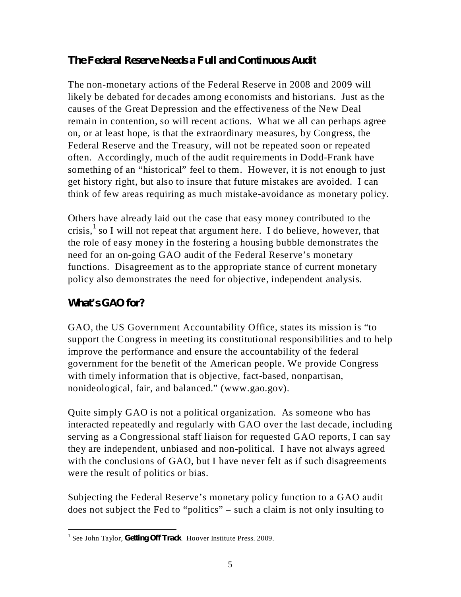### *The Federal Reserve Needs a Full and Continuous Audit*

The non-monetary actions of the Federal Reserve in 2008 and 2009 will likely be debated for decades among economists and historians. Just as the causes of the Great Depression and the effectiveness of the New Deal remain in contention, so will recent actions. What we all can perhaps agree on, or at least hope, is that the extraordinary measures, by Congress, the Federal Reserve and the Treasury, will not be repeated soon or repeated often. Accordingly, much of the audit requirements in Dodd-Frank have something of an "historical" feel to them. However, it is not enough to just get history right, but also to insure that future mistakes are avoided. I can think of few areas requiring as much mistake-avoidance as monetary policy.

Others have already laid out the case that easy money contributed to the crisis,  $\frac{1}{2}$  so I will not repeat that argument here. I do believe, however, that the role of easy money in the fostering a housing bubble demonstrates the need for an on-going GAO audit of the Federal Reserve's monetary functions. Disagreement as to the appropriate stance of current monetary policy also demonstrates the need for objective, independent analysis.

## *What's GAO for?*

GAO, the US Government Accountability Office, states its mission is "to support the Congress in meeting its constitutional responsibilities and to help improve the performance and ensure the accountability of the federal government for the benefit of the American people. We provide Congress with timely information that is objective, fact-based, nonpartisan, nonideological, fair, and balanced." (www.gao.gov).

Quite simply GAO is not a political organization. As someone who has interacted repeatedly and regularly with GAO over the last decade, including serving as a Congressional staff liaison for requested GAO reports, I can say they are independent, unbiased and non-political. I have not always agreed with the conclusions of GAO, but I have never felt as if such disagreements were the result of politics or bias.

Subjecting the Federal Reserve's monetary policy function to a GAO audit does not subject the Fed to "politics" – such a claim is not only insulting to

<sup>&</sup>lt;sup>1</sup> See John Taylor, *Getting Off Track*. Hoover Institute Press. 2009.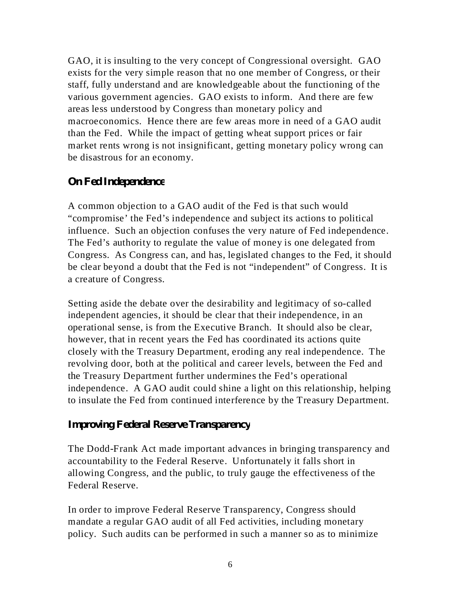GAO, it is insulting to the very concept of Congressional oversight. GAO exists for the very simple reason that no one member of Congress, or their staff, fully understand and are knowledgeable about the functioning of the various government agencies. GAO exists to inform. And there are few areas less understood by Congress than monetary policy and macroeconomics. Hence there are few areas more in need of a GAO audit than the Fed. While the impact of getting wheat support prices or fair market rents wrong is not insignificant, getting monetary policy wrong can be disastrous for an economy.

#### *On Fed Independence*

A common objection to a GAO audit of the Fed is that such would "compromise' the Fed's independence and subject its actions to political influence. Such an objection confuses the very nature of Fed independence. The Fed's authority to regulate the value of money is one delegated from Congress. As Congress can, and has, legislated changes to the Fed, it should be clear beyond a doubt that the Fed is not "independent" of Congress. It is a creature of Congress.

Setting aside the debate over the desirability and legitimacy of so-called independent agencies, it should be clear that their independence, in an operational sense, is from the Executive Branch. It should also be clear, however, that in recent years the Fed has coordinated its actions quite closely with the Treasury Department, eroding any real independence. The revolving door, both at the political and career levels, between the Fed and the Treasury Department further undermines the Fed's operational independence. A GAO audit could shine a light on this relationship, helping to insulate the Fed from continued interference by the Treasury Department.

#### *Improving Federal Reserve Transparency*

The Dodd-Frank Act made important advances in bringing transparency and accountability to the Federal Reserve. Unfortunately it falls short in allowing Congress, and the public, to truly gauge the effectiveness of the Federal Reserve.

In order to improve Federal Reserve Transparency, Congress should mandate a regular GAO audit of all Fed activities, including monetary policy. Such audits can be performed in such a manner so as to minimize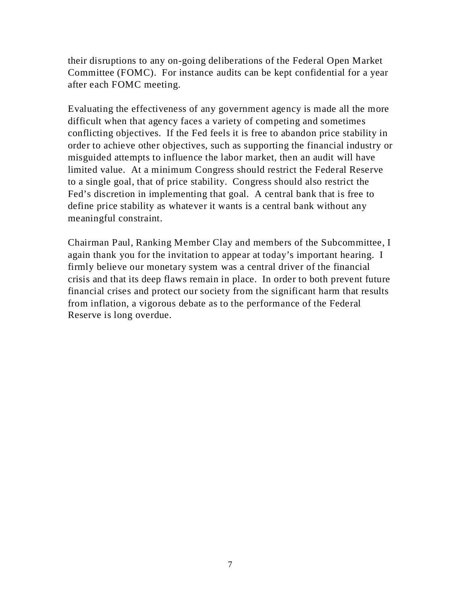their disruptions to any on-going deliberations of the Federal Open Market Committee (FOMC). For instance audits can be kept confidential for a year after each FOMC meeting.

Evaluating the effectiveness of any government agency is made all the more difficult when that agency faces a variety of competing and sometimes conflicting objectives. If the Fed feels it is free to abandon price stability in order to achieve other objectives, such as supporting the financial industry or misguided attempts to influence the labor market, then an audit will have limited value. At a minimum Congress should restrict the Federal Reserve to a single goal, that of price stability. Congress should also restrict the Fed's discretion in implementing that goal. A central bank that is free to define price stability as whatever it wants is a central bank without any meaningful constraint.

Chairman Paul, Ranking Member Clay and members of the Subcommittee, I again thank you for the invitation to appear at today's important hearing. I firmly believe our monetary system was a central driver of the financial crisis and that its deep flaws remain in place. In order to both prevent future financial crises and protect our society from the significant harm that results from inflation, a vigorous debate as to the performance of the Federal Reserve is long overdue.